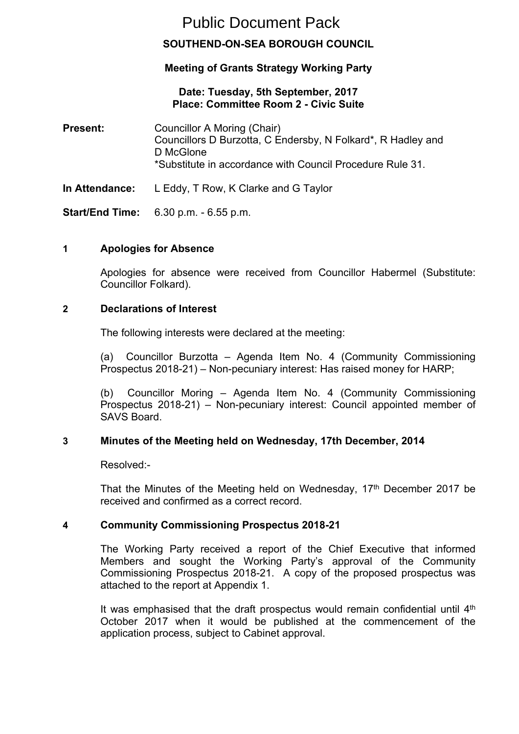# Public Document Pack

# **SOUTHEND-ON-SEA BOROUGH COUNCIL**

# **Meeting of Grants Strategy Working Party**

## **Date: Tuesday, 5th September, 2017 Place: Committee Room 2 - Civic Suite**

**Present:** Councillor A Moring (Chair) Councillors D Burzotta, C Endersby, N Folkard\*, R Hadley and D McGlone \*Substitute in accordance with Council Procedure Rule 31.

**In Attendance:** L Eddy, T Row, K Clarke and G Taylor

**Start/End Time:** 6.30 p.m. - 6.55 p.m.

# **1 Apologies for Absence**

Apologies for absence were received from Councillor Habermel (Substitute: Councillor Folkard).

## **2 Declarations of Interest**

The following interests were declared at the meeting:

(a) Councillor Burzotta – Agenda Item No. 4 (Community Commissioning Prospectus 2018-21) – Non-pecuniary interest: Has raised money for HARP;

(b) Councillor Moring – Agenda Item No. 4 (Community Commissioning Prospectus 2018-21) – Non-pecuniary interest: Council appointed member of SAVS Board.

## **3 Minutes of the Meeting held on Wednesday, 17th December, 2014**

Resolved:-

That the Minutes of the Meeting held on Wednesday, 17<sup>th</sup> December 2017 be received and confirmed as a correct record.

## **4 Community Commissioning Prospectus 2018-21**

The Working Party received a report of the Chief Executive that informed Members and sought the Working Party's approval of the Community Commissioning Prospectus 2018-21. A copy of the proposed prospectus was attached to the report at Appendix 1.

It was emphasised that the draft prospectus would remain confidential until  $4<sup>th</sup>$ October 2017 when it would be published at the commencement of the application process, subject to Cabinet approval.